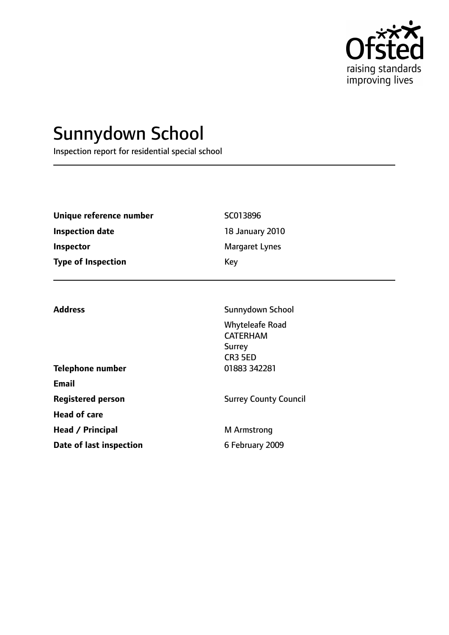

# Sunnydown School

Inspection report for residential special school

| Unique reference number   | SC013896        |
|---------------------------|-----------------|
| Inspection date           | 18 January 2010 |
| Inspector                 | Margaret Lynes  |
| <b>Type of Inspection</b> | Key             |

Whyteleafe Road CATERHAM Surrey

Address **Sunnydown School** 

|                          | CR3 5ED                      |  |
|--------------------------|------------------------------|--|
| <b>Telephone number</b>  | 01883 342281                 |  |
| Email                    |                              |  |
| <b>Registered person</b> | <b>Surrey County Council</b> |  |
| <b>Head of care</b>      |                              |  |
| Head / Principal         | M Armstrong                  |  |
| Date of last inspection  | 6 February 2009              |  |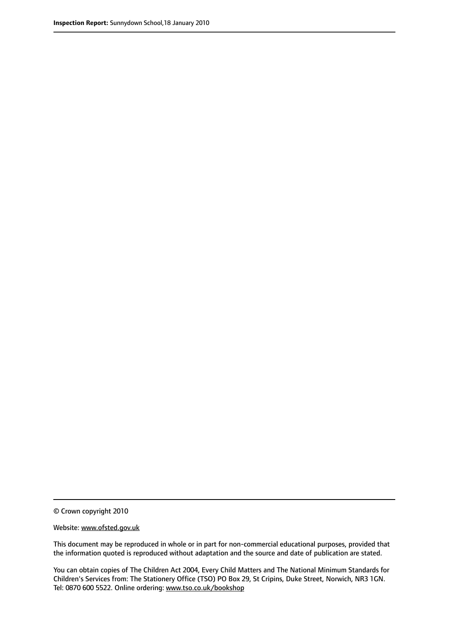© Crown copyright 2010

Website: www.ofsted.gov.uk

This document may be reproduced in whole or in part for non-commercial educational purposes, provided that the information quoted is reproduced without adaptation and the source and date of publication are stated.

You can obtain copies of The Children Act 2004, Every Child Matters and The National Minimum Standards for Children's Services from: The Stationery Office (TSO) PO Box 29, St Cripins, Duke Street, Norwich, NR3 1GN. Tel: 0870 600 5522. Online ordering: www.tso.co.uk/bookshop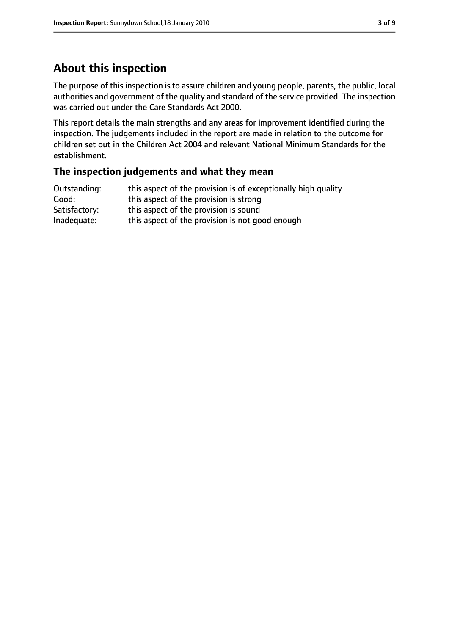# **About this inspection**

The purpose of this inspection is to assure children and young people, parents, the public, local authorities and government of the quality and standard of the service provided. The inspection was carried out under the Care Standards Act 2000.

This report details the main strengths and any areas for improvement identified during the inspection. The judgements included in the report are made in relation to the outcome for children set out in the Children Act 2004 and relevant National Minimum Standards for the establishment.

#### **The inspection judgements and what they mean**

| Outstanding:  | this aspect of the provision is of exceptionally high quality |
|---------------|---------------------------------------------------------------|
| Good:         | this aspect of the provision is strong                        |
| Satisfactory: | this aspect of the provision is sound                         |
| Inadequate:   | this aspect of the provision is not good enough               |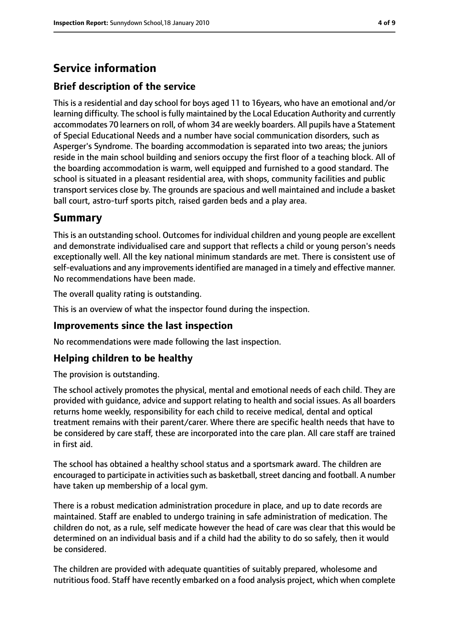# **Service information**

## **Brief description of the service**

This is a residential and day school for boys aged 11 to 16years, who have an emotional and/or learning difficulty. The school is fully maintained by the Local Education Authority and currently accommodates 70 learners on roll, of whom 34 are weekly boarders. All pupils have a Statement of Special Educational Needs and a number have social communication disorders, such as Asperger's Syndrome. The boarding accommodation is separated into two areas; the juniors reside in the main school building and seniors occupy the first floor of a teaching block. All of the boarding accommodation is warm, well equipped and furnished to a good standard. The school is situated in a pleasant residential area, with shops, community facilities and public transport services close by. The grounds are spacious and well maintained and include a basket ball court, astro-turf sports pitch, raised garden beds and a play area.

# **Summary**

This is an outstanding school. Outcomes for individual children and young people are excellent and demonstrate individualised care and support that reflects a child or young person's needs exceptionally well. All the key national minimum standards are met. There is consistent use of self-evaluations and any improvements identified are managed in a timely and effective manner. No recommendations have been made.

The overall quality rating is outstanding.

This is an overview of what the inspector found during the inspection.

#### **Improvements since the last inspection**

No recommendations were made following the last inspection.

## **Helping children to be healthy**

The provision is outstanding.

The school actively promotes the physical, mental and emotional needs of each child. They are provided with guidance, advice and support relating to health and social issues. As all boarders returns home weekly, responsibility for each child to receive medical, dental and optical treatment remains with their parent/carer. Where there are specific health needs that have to be considered by care staff, these are incorporated into the care plan. All care staff are trained in first aid.

The school has obtained a healthy school status and a sportsmark award. The children are encouraged to participate in activities such as basketball, street dancing and football. A number have taken up membership of a local gym.

There is a robust medication administration procedure in place, and up to date records are maintained. Staff are enabled to undergo training in safe administration of medication. The children do not, as a rule, self medicate however the head of care was clear that this would be determined on an individual basis and if a child had the ability to do so safely, then it would be considered.

The children are provided with adequate quantities of suitably prepared, wholesome and nutritious food. Staff have recently embarked on a food analysis project, which when complete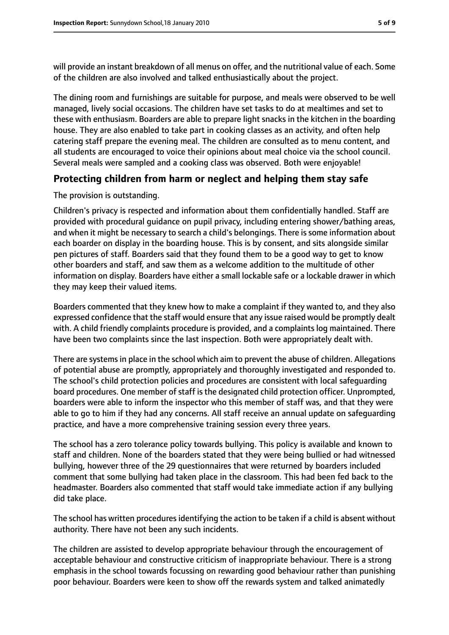will provide an instant breakdown of all menus on offer, and the nutritional value of each. Some of the children are also involved and talked enthusiastically about the project.

The dining room and furnishings are suitable for purpose, and meals were observed to be well managed, lively social occasions. The children have set tasks to do at mealtimes and set to these with enthusiasm. Boarders are able to prepare light snacks in the kitchen in the boarding house. They are also enabled to take part in cooking classes as an activity, and often help catering staff prepare the evening meal. The children are consulted as to menu content, and all students are encouraged to voice their opinions about meal choice via the school council. Several meals were sampled and a cooking class was observed. Both were enjoyable!

## **Protecting children from harm or neglect and helping them stay safe**

#### The provision is outstanding.

Children's privacy is respected and information about them confidentially handled. Staff are provided with procedural guidance on pupil privacy, including entering shower/bathing areas, and when it might be necessary to search a child's belongings. There is some information about each boarder on display in the boarding house. This is by consent, and sits alongside similar pen pictures of staff. Boarders said that they found them to be a good way to get to know other boarders and staff, and saw them as a welcome addition to the multitude of other information on display. Boarders have either a small lockable safe or a lockable drawer in which they may keep their valued items.

Boarders commented that they knew how to make a complaint if they wanted to, and they also expressed confidence that the staff would ensure that any issue raised would be promptly dealt with. A child friendly complaints procedure is provided, and a complaints log maintained. There have been two complaints since the last inspection. Both were appropriately dealt with.

There are systems in place in the school which aim to prevent the abuse of children. Allegations of potential abuse are promptly, appropriately and thoroughly investigated and responded to. The school's child protection policies and procedures are consistent with local safeguarding board procedures. One member of staff is the designated child protection officer. Unprompted, boarders were able to inform the inspector who this member of staff was, and that they were able to go to him if they had any concerns. All staff receive an annual update on safeguarding practice, and have a more comprehensive training session every three years.

The school has a zero tolerance policy towards bullying. This policy is available and known to staff and children. None of the boarders stated that they were being bullied or had witnessed bullying, however three of the 29 questionnaires that were returned by boarders included comment that some bullying had taken place in the classroom. This had been fed back to the headmaster. Boarders also commented that staff would take immediate action if any bullying did take place.

The school has written procedures identifying the action to be taken if a child is absent without authority. There have not been any such incidents.

The children are assisted to develop appropriate behaviour through the encouragement of acceptable behaviour and constructive criticism of inappropriate behaviour. There is a strong emphasis in the school towards focussing on rewarding good behaviour rather than punishing poor behaviour. Boarders were keen to show off the rewards system and talked animatedly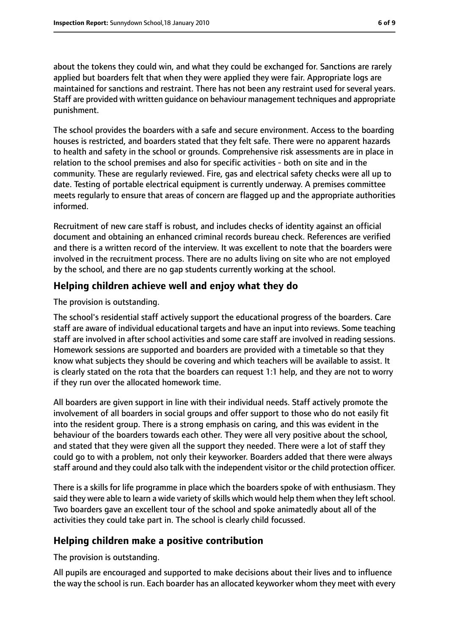about the tokens they could win, and what they could be exchanged for. Sanctions are rarely applied but boarders felt that when they were applied they were fair. Appropriate logs are maintained for sanctions and restraint. There has not been any restraint used for several years. Staff are provided with written guidance on behaviour management techniques and appropriate punishment.

The school provides the boarders with a safe and secure environment. Access to the boarding houses is restricted, and boarders stated that they felt safe. There were no apparent hazards to health and safety in the school or grounds. Comprehensive risk assessments are in place in relation to the school premises and also for specific activities - both on site and in the community. These are regularly reviewed. Fire, gas and electrical safety checks were all up to date. Testing of portable electrical equipment is currently underway. A premises committee meets regularly to ensure that areas of concern are flagged up and the appropriate authorities informed.

Recruitment of new care staff is robust, and includes checks of identity against an official document and obtaining an enhanced criminal records bureau check. References are verified and there is a written record of the interview. It was excellent to note that the boarders were involved in the recruitment process. There are no adults living on site who are not employed by the school, and there are no gap students currently working at the school.

#### **Helping children achieve well and enjoy what they do**

The provision is outstanding.

The school's residential staff actively support the educational progress of the boarders. Care staff are aware of individual educational targets and have an input into reviews. Some teaching staff are involved in after school activities and some care staff are involved in reading sessions. Homework sessions are supported and boarders are provided with a timetable so that they know what subjects they should be covering and which teachers will be available to assist. It is clearly stated on the rota that the boarders can request 1:1 help, and they are not to worry if they run over the allocated homework time.

All boarders are given support in line with their individual needs. Staff actively promote the involvement of all boarders in social groups and offer support to those who do not easily fit into the resident group. There is a strong emphasis on caring, and this was evident in the behaviour of the boarders towards each other. They were all very positive about the school, and stated that they were given all the support they needed. There were a lot of staff they could go to with a problem, not only their keyworker. Boarders added that there were always staff around and they could also talk with the independent visitor or the child protection officer.

There is a skills for life programme in place which the boarders spoke of with enthusiasm. They said they were able to learn a wide variety of skills which would help them when they left school. Two boarders gave an excellent tour of the school and spoke animatedly about all of the activities they could take part in. The school is clearly child focussed.

#### **Helping children make a positive contribution**

The provision is outstanding.

All pupils are encouraged and supported to make decisions about their lives and to influence the way the school is run. Each boarder has an allocated keyworker whom they meet with every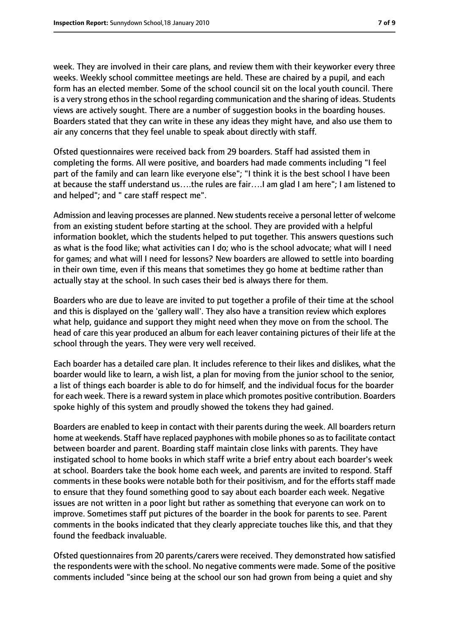week. They are involved in their care plans, and review them with their keyworker every three weeks. Weekly school committee meetings are held. These are chaired by a pupil, and each form has an elected member. Some of the school council sit on the local youth council. There is a very strong ethos in the school regarding communication and the sharing of ideas. Students views are actively sought. There are a number of suggestion books in the boarding houses. Boarders stated that they can write in these any ideas they might have, and also use them to air any concerns that they feel unable to speak about directly with staff.

Ofsted questionnaires were received back from 29 boarders. Staff had assisted them in completing the forms. All were positive, and boarders had made comments including "I feel part of the family and can learn like everyone else"; "I think it is the best school I have been at because the staff understand us….the rules are fair….I am glad I am here"; I am listened to and helped"; and " care staff respect me".

Admission and leaving processes are planned. New students receive a personal letter of welcome from an existing student before starting at the school. They are provided with a helpful information booklet, which the students helped to put together. This answers questions such as what is the food like; what activities can I do; who is the school advocate; what will I need for games; and what will I need for lessons? New boarders are allowed to settle into boarding in their own time, even if this means that sometimes they go home at bedtime rather than actually stay at the school. In such cases their bed is always there for them.

Boarders who are due to leave are invited to put together a profile of their time at the school and this is displayed on the 'gallery wall'. They also have a transition review which explores what help, guidance and support they might need when they move on from the school. The head of care this year produced an album for each leaver containing pictures of their life at the school through the years. They were very well received.

Each boarder has a detailed care plan. It includes reference to their likes and dislikes, what the boarder would like to learn, a wish list, a plan for moving from the junior school to the senior, a list of things each boarder is able to do for himself, and the individual focus for the boarder for each week. There is a reward system in place which promotes positive contribution. Boarders spoke highly of this system and proudly showed the tokens they had gained.

Boarders are enabled to keep in contact with their parents during the week. All boarders return home at weekends. Staff have replaced payphones with mobile phones so as to facilitate contact between boarder and parent. Boarding staff maintain close links with parents. They have instigated school to home books in which staff write a brief entry about each boarder's week at school. Boarders take the book home each week, and parents are invited to respond. Staff comments in these books were notable both for their positivism, and for the efforts staff made to ensure that they found something good to say about each boarder each week. Negative issues are not written in a poor light but rather as something that everyone can work on to improve. Sometimes staff put pictures of the boarder in the book for parents to see. Parent comments in the books indicated that they clearly appreciate touches like this, and that they found the feedback invaluable.

Ofsted questionnaires from 20 parents/carers were received. They demonstrated how satisfied the respondents were with the school. No negative comments were made. Some of the positive comments included "since being at the school our son had grown from being a quiet and shy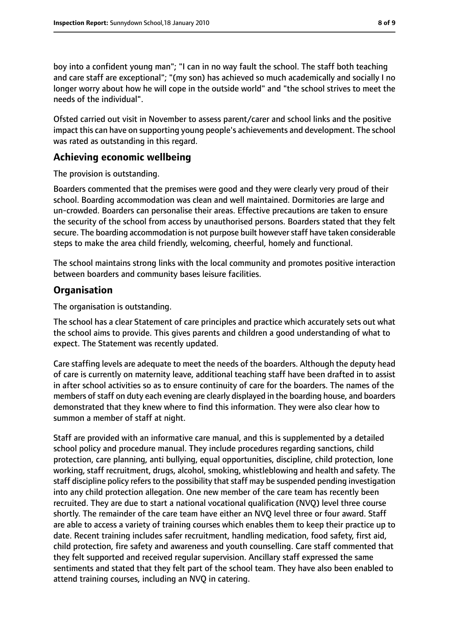boy into a confident young man"; "I can in no way fault the school. The staff both teaching and care staff are exceptional"; "(my son) has achieved so much academically and socially I no longer worry about how he will cope in the outside world" and "the school strives to meet the needs of the individual".

Ofsted carried out visit in November to assess parent/carer and school links and the positive impact this can have on supporting young people's achievements and development. The school was rated as outstanding in this regard.

#### **Achieving economic wellbeing**

The provision is outstanding.

Boarders commented that the premises were good and they were clearly very proud of their school. Boarding accommodation was clean and well maintained. Dormitories are large and un-crowded. Boarders can personalise their areas. Effective precautions are taken to ensure the security of the school from access by unauthorised persons. Boarders stated that they felt secure. The boarding accommodation is not purpose built however staff have taken considerable steps to make the area child friendly, welcoming, cheerful, homely and functional.

The school maintains strong links with the local community and promotes positive interaction between boarders and community bases leisure facilities.

## **Organisation**

The organisation is outstanding.

The school has a clear Statement of care principles and practice which accurately sets out what the school aims to provide. This gives parents and children a good understanding of what to expect. The Statement was recently updated.

Care staffing levels are adequate to meet the needs of the boarders. Although the deputy head of care is currently on maternity leave, additional teaching staff have been drafted in to assist in after school activities so as to ensure continuity of care for the boarders. The names of the members of staff on duty each evening are clearly displayed in the boarding house, and boarders demonstrated that they knew where to find this information. They were also clear how to summon a member of staff at night.

Staff are provided with an informative care manual, and this is supplemented by a detailed school policy and procedure manual. They include procedures regarding sanctions, child protection, care planning, anti bullying, equal opportunities, discipline, child protection, lone working, staff recruitment, drugs, alcohol, smoking, whistleblowing and health and safety. The staff discipline policy refers to the possibility that staff may be suspended pending investigation into any child protection allegation. One new member of the care team has recently been recruited. They are due to start a national vocational qualification (NVQ) level three course shortly. The remainder of the care team have either an NVQ level three or four award. Staff are able to access a variety of training courses which enables them to keep their practice up to date. Recent training includes safer recruitment, handling medication, food safety, first aid, child protection, fire safety and awareness and youth counselling. Care staff commented that they felt supported and received regular supervision. Ancillary staff expressed the same sentiments and stated that they felt part of the school team. They have also been enabled to attend training courses, including an NVQ in catering.